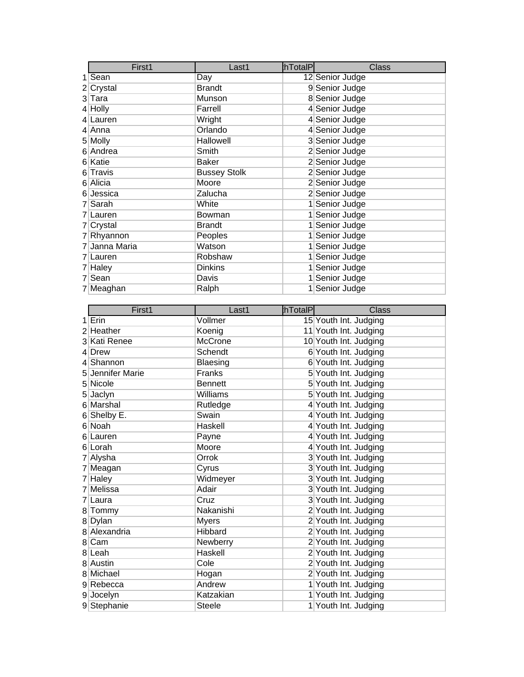| First1        | Last1               | <b>hTotalP</b> | <b>Class</b>    |
|---------------|---------------------|----------------|-----------------|
| $1$ Sean      | Day                 |                | 12 Senior Judge |
| $2$ Crystal   | <b>Brandt</b>       |                | 9 Senior Judge  |
| 3 Tara        | Munson              |                | 8 Senior Judge  |
| $4$ Holly     | Farrell             |                | 4 Senior Judge  |
| 4 Lauren      | Wright              |                | 4 Senior Judge  |
| 4 Anna        | Orlando             |                | 4 Senior Judge  |
| 5 Molly       | Hallowell           |                | 3 Senior Judge  |
| 6 Andrea      | Smith               |                | 2 Senior Judge  |
| 6 Katie       | <b>Baker</b>        |                | 2 Senior Judge  |
| 6 Travis      | <b>Bussey Stolk</b> |                | 2 Senior Judge  |
| 6 Alicia      | Moore               |                | 2 Senior Judge  |
| 6 Jessica     | Zalucha             |                | 2 Senior Judge  |
| 7 Sarah       | White               |                | 1 Senior Judge  |
| 7 Lauren      | Bowman              |                | 1 Senior Judge  |
| 7 Crystal     | <b>Brandt</b>       |                | 1 Senior Judge  |
| 7 Rhyannon    | Peoples             |                | 1 Senior Judge  |
| 7 Janna Maria | Watson              |                | 1 Senior Judge  |
| 7 Lauren      | Robshaw             |                | 1 Senior Judge  |
| 7 Haley       | <b>Dinkins</b>      |                | 1 Senior Judge  |
| 7 Sean        | Davis               |                | 1 Senior Judge  |
| 7 Meaghan     | Ralph               |                | 1 Senior Judge  |

| First1           | Last1           | hTotalP | <b>Class</b>          |
|------------------|-----------------|---------|-----------------------|
| $1$ Erin         | Vollmer         |         | 15 Youth Int. Judging |
| 2 Heather        | Koenig          |         | 11 Youth Int. Judging |
| 3 Kati Renee     | <b>McCrone</b>  |         | 10 Youth Int. Judging |
| $4$ Drew         | Schendt         |         | 6 Youth Int. Judging  |
| 4 Shannon        | Blaesing        |         | 6 Youth Int. Judging  |
| 5 Jennifer Marie | <b>Franks</b>   |         | 5 Youth Int. Judging  |
| 5 Nicole         | <b>Bennett</b>  |         | 5 Youth Int. Judging  |
| 5 Jaclyn         | <b>Williams</b> |         | 5 Youth Int. Judging  |
| 6 Marshal        | Rutledge        |         | 4 Youth Int. Judging  |
| 6 Shelby E.      | Swain           |         | 4 Youth Int. Judging  |
| 6 Noah           | Haskell         |         | 4 Youth Int. Judging  |
| 6 Lauren         | Payne           |         | 4 Youth Int. Judging  |
| 6 Lorah          | Moore           |         | 4 Youth Int. Judging  |
| 7 Alysha         | Orrok           |         | 3 Youth Int. Judging  |
| 7 Meagan         | Cyrus           |         | 3 Youth Int. Judging  |
| $7$ Haley        | Widmeyer        |         | 3 Youth Int. Judging  |
| 7 Melissa        | Adair           |         | 3 Youth Int. Judging  |
| 7 Laura          | Cruz            |         | 3 Youth Int. Judging  |
| 8 Tommy          | Nakanishi       |         | 2 Youth Int. Judging  |
| 8 Dylan          | <b>Myers</b>    |         | 2 Youth Int. Judging  |
| 8 Alexandria     | Hibbard         |         | 2 Youth Int. Judging  |
| 8 Cam            | Newberry        |         | 2 Youth Int. Judging  |
| 8 Leah           | Haskell         |         | 2 Youth Int. Judging  |
| 8 Austin         | Cole            |         | 2 Youth Int. Judging  |
| 8 Michael        | Hogan           |         | 2 Youth Int. Judging  |
| 9 Rebecca        | Andrew          |         | 1 Youth Int. Judging  |
| 9 Jocelyn        | Katzakian       |         | 1 Youth Int. Judging  |
| 9 Stephanie      | <b>Steele</b>   |         | 1 Youth Int. Judging  |